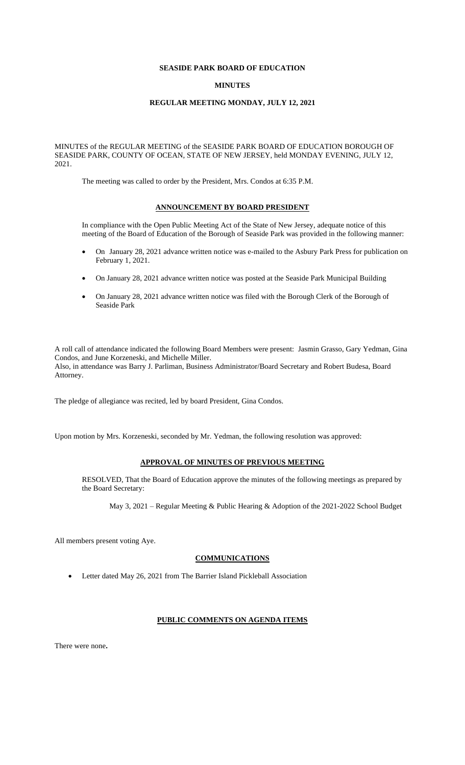# **SEASIDE PARK BOARD OF EDUCATION**

## **MINUTES**

# **REGULAR MEETING MONDAY, JULY 12, 2021**

MINUTES of the REGULAR MEETING of the SEASIDE PARK BOARD OF EDUCATION BOROUGH OF SEASIDE PARK, COUNTY OF OCEAN, STATE OF NEW JERSEY, held MONDAY EVENING, JULY 12, 2021.

The meeting was called to order by the President, Mrs. Condos at 6:35 P.M.

## **ANNOUNCEMENT BY BOARD PRESIDENT**

In compliance with the Open Public Meeting Act of the State of New Jersey, adequate notice of this meeting of the Board of Education of the Borough of Seaside Park was provided in the following manner:

- On January 28, 2021 advance written notice was e-mailed to the Asbury Park Press for publication on February 1, 2021.
- On January 28, 2021 advance written notice was posted at the Seaside Park Municipal Building
- On January 28, 2021 advance written notice was filed with the Borough Clerk of the Borough of Seaside Park

A roll call of attendance indicated the following Board Members were present: Jasmin Grasso, Gary Yedman, Gina Condos, and June Korzeneski, and Michelle Miller. Also, in attendance was Barry J. Parliman, Business Administrator/Board Secretary and Robert Budesa, Board Attorney.

The pledge of allegiance was recited, led by board President, Gina Condos.

Upon motion by Mrs. Korzeneski, seconded by Mr. Yedman, the following resolution was approved:

# **APPROVAL OF MINUTES OF PREVIOUS MEETING**

RESOLVED, That the Board of Education approve the minutes of the following meetings as prepared by the Board Secretary:

May 3, 2021 – Regular Meeting & Public Hearing & Adoption of the 2021-2022 School Budget

All members present voting Aye.

# **COMMUNICATIONS**

• Letter dated May 26, 2021 from The Barrier Island Pickleball Association

## **PUBLIC COMMENTS ON AGENDA ITEMS**

There were none**.**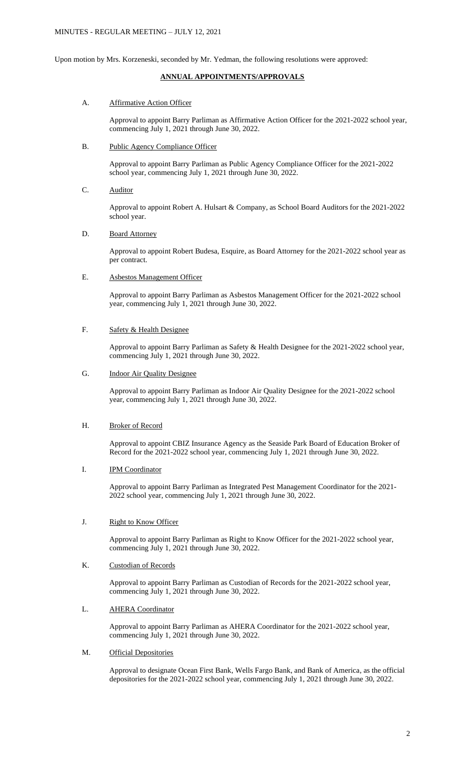Upon motion by Mrs. Korzeneski, seconded by Mr. Yedman, the following resolutions were approved:

# **ANNUAL APPOINTMENTS/APPROVALS**

## A. Affirmative Action Officer

Approval to appoint Barry Parliman as Affirmative Action Officer for the 2021-2022 school year, commencing July 1, 2021 through June 30, 2022.

## B. Public Agency Compliance Officer

Approval to appoint Barry Parliman as Public Agency Compliance Officer for the 2021-2022 school year, commencing July 1, 2021 through June 30, 2022.

C. Auditor

Approval to appoint Robert A. Hulsart & Company, as School Board Auditors for the 2021-2022 school year.

## D. Board Attorney

Approval to appoint Robert Budesa, Esquire, as Board Attorney for the 2021-2022 school year as per contract.

## E. Asbestos Management Officer

Approval to appoint Barry Parliman as Asbestos Management Officer for the 2021-2022 school year, commencing July 1, 2021 through June 30, 2022.

# F. Safety & Health Designee

Approval to appoint Barry Parliman as Safety & Health Designee for the 2021-2022 school year, commencing July 1, 2021 through June 30, 2022.

# G. **Indoor Air Quality Designee**

Approval to appoint Barry Parliman as Indoor Air Quality Designee for the 2021-2022 school year, commencing July 1, 2021 through June 30, 2022.

## H. Broker of Record

Approval to appoint CBIZ Insurance Agency as the Seaside Park Board of Education Broker of Record for the 2021-2022 school year, commencing July 1, 2021 through June 30, 2022.

## I. IPM Coordinator

Approval to appoint Barry Parliman as Integrated Pest Management Coordinator for the 2021- 2022 school year, commencing July 1, 2021 through June 30, 2022.

## J. Right to Know Officer

Approval to appoint Barry Parliman as Right to Know Officer for the 2021-2022 school year, commencing July 1, 2021 through June 30, 2022.

# K. Custodian of Records

Approval to appoint Barry Parliman as Custodian of Records for the 2021-2022 school year, commencing July 1, 2021 through June 30, 2022.

## L. **AHERA Coordinator**

Approval to appoint Barry Parliman as AHERA Coordinator for the 2021-2022 school year, commencing July 1, 2021 through June 30, 2022.

# M. Official Depositories

Approval to designate Ocean First Bank, Wells Fargo Bank, and Bank of America, as the official depositories for the 2021-2022 school year, commencing July 1, 2021 through June 30, 2022.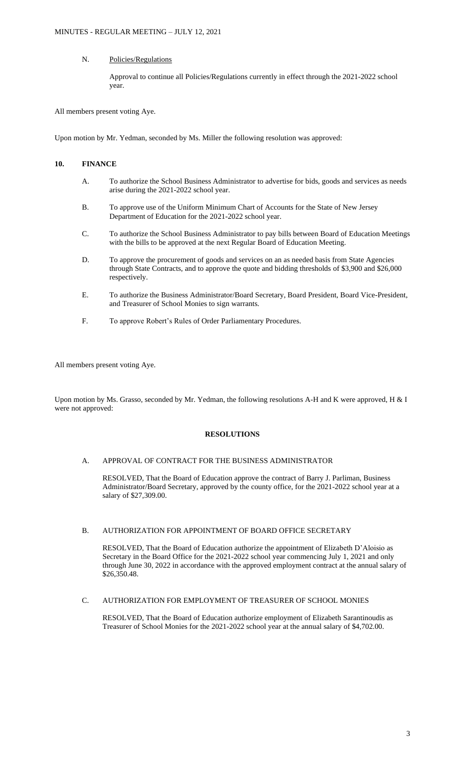# N. Policies/Regulations

Approval to continue all Policies/Regulations currently in effect through the 2021-2022 school year.

All members present voting Aye.

Upon motion by Mr. Yedman, seconded by Ms. Miller the following resolution was approved:

# **10. FINANCE**

- A. To authorize the School Business Administrator to advertise for bids, goods and services as needs arise during the 2021-2022 school year.
- B. To approve use of the Uniform Minimum Chart of Accounts for the State of New Jersey Department of Education for the 2021-2022 school year.
- C. To authorize the School Business Administrator to pay bills between Board of Education Meetings with the bills to be approved at the next Regular Board of Education Meeting.
- D. To approve the procurement of goods and services on an as needed basis from State Agencies through State Contracts, and to approve the quote and bidding thresholds of \$3,900 and \$26,000 respectively.
- E. To authorize the Business Administrator/Board Secretary, Board President, Board Vice-President, and Treasurer of School Monies to sign warrants.
- F. To approve Robert's Rules of Order Parliamentary Procedures.

All members present voting Aye.

Upon motion by Ms. Grasso, seconded by Mr. Yedman, the following resolutions A-H and K were approved, H & I were not approved:

## **RESOLUTIONS**

# A. APPROVAL OF CONTRACT FOR THE BUSINESS ADMINISTRATOR

RESOLVED, That the Board of Education approve the contract of Barry J. Parliman, Business Administrator/Board Secretary, approved by the county office, for the 2021-2022 school year at a salary of \$27,309.00.

## B. AUTHORIZATION FOR APPOINTMENT OF BOARD OFFICE SECRETARY

RESOLVED, That the Board of Education authorize the appointment of Elizabeth D'Aloisio as Secretary in the Board Office for the 2021-2022 school year commencing July 1, 2021 and only through June 30, 2022 in accordance with the approved employment contract at the annual salary of \$26,350.48.

## C. AUTHORIZATION FOR EMPLOYMENT OF TREASURER OF SCHOOL MONIES

RESOLVED, That the Board of Education authorize employment of Elizabeth Sarantinoudis as Treasurer of School Monies for the 2021-2022 school year at the annual salary of \$4,702.00.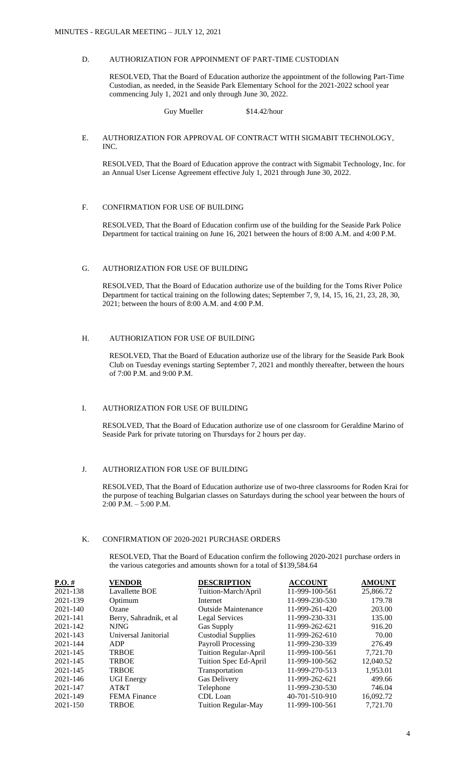## D. AUTHORIZATION FOR APPOINMENT OF PART-TIME CUSTODIAN

RESOLVED, That the Board of Education authorize the appointment of the following Part-Time Custodian, as needed, in the Seaside Park Elementary School for the 2021-2022 school year commencing July 1, 2021 and only through June 30, 2022.

### Guy Mueller \$14.42/hour

### E. AUTHORIZATION FOR APPROVAL OF CONTRACT WITH SIGMABIT TECHNOLOGY, INC.

RESOLVED, That the Board of Education approve the contract with Sigmabit Technology, Inc. for an Annual User License Agreement effective July 1, 2021 through June 30, 2022.

### F. CONFIRMATION FOR USE OF BUILDING

RESOLVED, That the Board of Education confirm use of the building for the Seaside Park Police Department for tactical training on June 16, 2021 between the hours of 8:00 A.M. and 4:00 P.M.

# G. AUTHORIZATION FOR USE OF BUILDING

RESOLVED, That the Board of Education authorize use of the building for the Toms River Police Department for tactical training on the following dates; September 7, 9, 14, 15, 16, 21, 23, 28, 30, 2021; between the hours of 8:00 A.M. and 4:00 P.M.

# H. AUTHORIZATION FOR USE OF BUILDING

RESOLVED, That the Board of Education authorize use of the library for the Seaside Park Book Club on Tuesday evenings starting September 7, 2021 and monthly thereafter, between the hours of 7:00 P.M. and 9:00 P.M.

## I. AUTHORIZATION FOR USE OF BUILDING

RESOLVED, That the Board of Education authorize use of one classroom for Geraldine Marino of Seaside Park for private tutoring on Thursdays for 2 hours per day.

## J. AUTHORIZATION FOR USE OF BUILDING

RESOLVED, That the Board of Education authorize use of two-three classrooms for Roden Krai for the purpose of teaching Bulgarian classes on Saturdays during the school year between the hours of 2:00 P.M. – 5:00 P.M.

# K. CONFIRMATION OF 2020-2021 PURCHASE ORDERS

RESOLVED, That the Board of Education confirm the following 2020-2021 purchase orders in the various categories and amounts shown for a total of \$139,584.64

| $P.O.$ # | <b>VENDOR</b>           | <b>DESCRIPTION</b>         | <b>ACCOUNT</b> | <b>AMOUNT</b> |
|----------|-------------------------|----------------------------|----------------|---------------|
| 2021-138 | Lavallette BOE          | Tuition-March/April        | 11-999-100-561 | 25,866.72     |
| 2021-139 | Optimum                 | Internet                   | 11-999-230-530 | 179.78        |
| 2021-140 | Ozane                   | <b>Outside Maintenance</b> | 11-999-261-420 | 203.00        |
| 2021-141 | Berry, Sahradnik, et al | Legal Services             | 11-999-230-331 | 135.00        |
| 2021-142 | <b>NJNG</b>             | Gas Supply                 | 11-999-262-621 | 916.20        |
| 2021-143 | Universal Janitorial    | <b>Custodial Supplies</b>  | 11-999-262-610 | 70.00         |
| 2021-144 | ADP                     | Payroll Processing         | 11-999-230-339 | 276.49        |
| 2021-145 | <b>TRBOE</b>            | Tuition Regular-April      | 11-999-100-561 | 7,721.70      |
| 2021-145 | <b>TRBOE</b>            | Tuition Spec Ed-April      | 11-999-100-562 | 12.040.52     |
| 2021-145 | <b>TRBOE</b>            | Transportation             | 11-999-270-513 | 1,953.01      |
| 2021-146 | <b>UGI Energy</b>       | <b>Gas Delivery</b>        | 11-999-262-621 | 499.66        |
| 2021-147 | AT&T                    | Telephone                  | 11-999-230-530 | 746.04        |
| 2021-149 | <b>FEMA</b> Finance     | CDL Loan                   | 40-701-510-910 | 16,092.72     |
| 2021-150 | <b>TRBOE</b>            | <b>Tuition Regular-May</b> | 11-999-100-561 | 7.721.70      |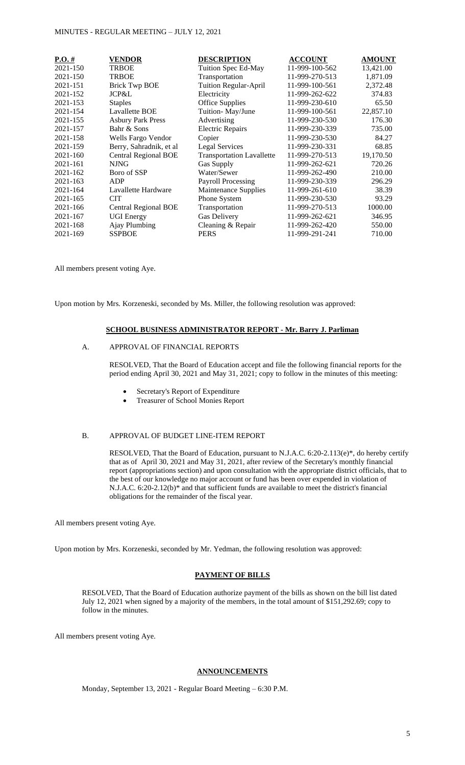| $P.O. \#$ | <b>VENDOR</b>               | <b>DESCRIPTION</b>               | <b>ACCOUNT</b> | <b>AMOUNT</b> |
|-----------|-----------------------------|----------------------------------|----------------|---------------|
| 2021-150  | <b>TRBOE</b>                | Tuition Spec Ed-May              | 11-999-100-562 | 13,421.00     |
| 2021-150  | <b>TRBOE</b>                | Transportation                   | 11-999-270-513 | 1,871.09      |
| 2021-151  | <b>Brick Twp BOE</b>        | Tuition Regular-April            | 11-999-100-561 | 2,372.48      |
| 2021-152  | <b>JCP&amp;L</b>            | Electricity                      | 11-999-262-622 | 374.83        |
| 2021-153  | <b>Staples</b>              | <b>Office Supplies</b>           | 11-999-230-610 | 65.50         |
| 2021-154  | Lavallette BOE              | Tuition-May/June                 | 11-999-100-561 | 22,857.10     |
| 2021-155  | <b>Asbury Park Press</b>    | Advertising                      | 11-999-230-530 | 176.30        |
| 2021-157  | Bahr & Sons                 | <b>Electric Repairs</b>          | 11-999-230-339 | 735.00        |
| 2021-158  | Wells Fargo Vendor          | Copier                           | 11-999-230-530 | 84.27         |
| 2021-159  | Berry, Sahradnik, et al     | <b>Legal Services</b>            | 11-999-230-331 | 68.85         |
| 2021-160  | <b>Central Regional BOE</b> | <b>Transportation Lavallette</b> | 11-999-270-513 | 19,170.50     |
| 2021-161  | <b>NJNG</b>                 | Gas Supply                       | 11-999-262-621 | 720.26        |
| 2021-162  | Boro of SSP                 | Water/Sewer                      | 11-999-262-490 | 210.00        |
| 2021-163  | ADP                         | <b>Payroll Processing</b>        | 11-999-230-339 | 296.29        |
| 2021-164  | Lavallette Hardware         | Maintenance Supplies             | 11-999-261-610 | 38.39         |
| 2021-165  | <b>CIT</b>                  | Phone System                     | 11-999-230-530 | 93.29         |
| 2021-166  | <b>Central Regional BOE</b> | Transportation                   | 11-999-270-513 | 1000.00       |
| 2021-167  | <b>UGI</b> Energy           | <b>Gas Delivery</b>              | 11-999-262-621 | 346.95        |
| 2021-168  | Ajay Plumbing               | Cleaning & Repair                | 11-999-262-420 | 550.00        |
| 2021-169  | <b>SSPBOE</b>               | <b>PERS</b>                      | 11-999-291-241 | 710.00        |

All members present voting Aye.

Upon motion by Mrs. Korzeneski, seconded by Ms. Miller, the following resolution was approved:

### **SCHOOL BUSINESS ADMINISTRATOR REPORT - Mr. Barry J. Parliman**

# A. APPROVAL OF FINANCIAL REPORTS

RESOLVED, That the Board of Education accept and file the following financial reports for the period ending April 30, 2021 and May 31, 2021; copy to follow in the minutes of this meeting:

- Secretary's Report of Expenditure
- Treasurer of School Monies Report

### B. APPROVAL OF BUDGET LINE-ITEM REPORT

RESOLVED, That the Board of Education, pursuant to N.J.A.C. 6:20-2.113(e)\*, do hereby certify that as of April 30, 2021 and May 31, 2021, after review of the Secretary's monthly financial report (appropriations section) and upon consultation with the appropriate district officials, that to the best of our knowledge no major account or fund has been over expended in violation of N.J.A.C. 6:20-2.12(b)\* and that sufficient funds are available to meet the district's financial obligations for the remainder of the fiscal year.

All members present voting Aye.

Upon motion by Mrs. Korzeneski, seconded by Mr. Yedman, the following resolution was approved:

### **PAYMENT OF BILLS**

RESOLVED, That the Board of Education authorize payment of the bills as shown on the bill list dated July 12, 2021 when signed by a majority of the members, in the total amount of \$151,292.69; copy to follow in the minutes.

All members present voting Aye.

# **ANNOUNCEMENTS**

Monday, September 13, 2021 - Regular Board Meeting – 6:30 P.M.